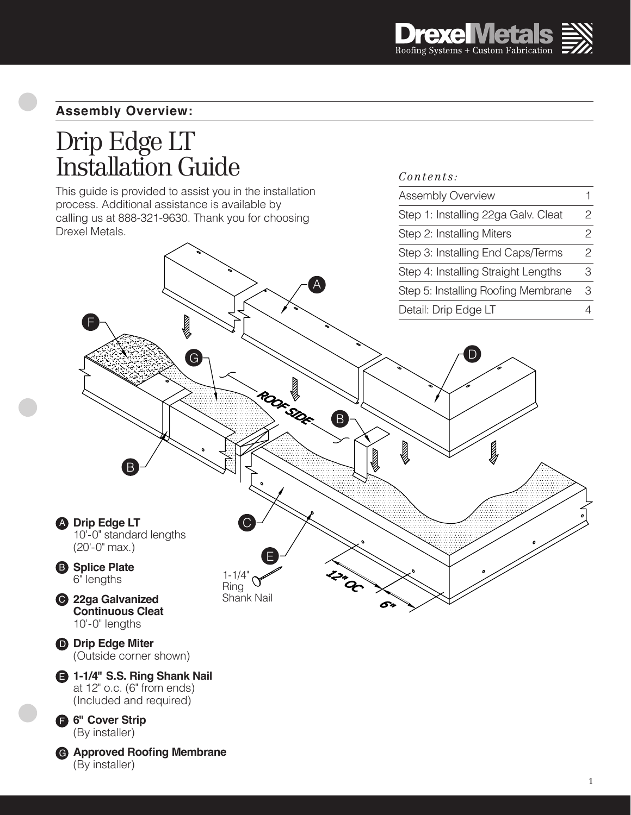*Contents:*

Assembly Overview

Step 1: Installing 22ga Galv. Cleat

1 2

## **Assembly Overview:**

# Drip Edge LT Installation Guide

This guide is provided to assist you in the installation process. Additional assistance is available by calling us at 888-321-9630. Thank you for choosing Drexel Metals.

#### Step 2: Installing Miters 2 2 Step 3: Installing End Caps/Terms 3 Step 4: Installing Straight Lengths A 3 Step 5: Installing Roofing Membrane 4Detail: Drip Edge LT F D G B J B C **Drip Edge LT** A 10'-0" standard lengths  $(20'-0'' \text{ max.})$ E **B** Splice Plate 1-1/4" 6" lengths Ring Shank Nail **3** 22ga Galvanized **Continuous Cleat** 10'-0" lengths **Drip Edge Miter** D (Outside corner shown)

**1-1/4" S.S. Ring Shank Nail** E at 12" o.c. (6" from ends) (Included and required)

**6" Cover Strip** F (By installer)

**Approved Roofing Membrane** G (By installer)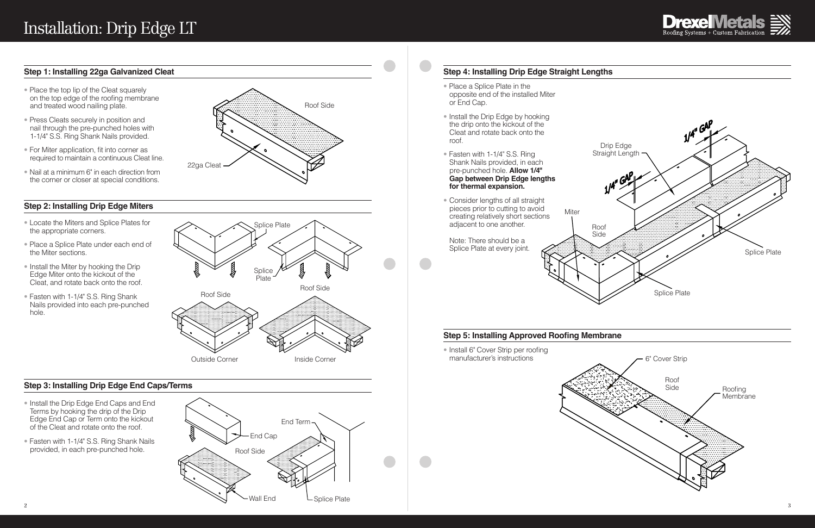## **Step 1: Installing 22ga Galvanized Cleat**

#### **Step 2: Installing Drip Edge Miters**

#### **Step 3: Installing Drip Edge End Caps/Terms**

# **Step 4: Installing Drip Edge Straight Lengths**

- Place the top lip of the Cleat squarely on the top edge of the roofing membrane and treated wood nailing plate.
- Press Cleats securely in position and nail through the pre-punched holes with 1-1/4" S.S. Ring Shank Nails provided.
- For Miter application, fit into corner as required to maintain a continuous Cleat line.
- Nail at a minimum 6" in each direction from the corner or closer at special conditions.

- Locate the Miters and Splice Plates for the appropriate corners.
- Place a Splice Plate under each end of the Miter sections.
- Install the Miter by hooking the Drip Edge Miter onto the kickout of the Cleat, and rotate back onto the roof.
- Fasten with 1-1/4" S.S. Ring Shank Nails provided into each pre-punched hole.

• Install 6" Cover Strip per roofing manufacturer's instructions

- Install the Drip Edge End Caps and End Terms by hooking the drip of the Drip Edge End Cap or Term onto the kickout of the Cleat and rotate onto the roof.
- Fasten with 1-1/4" S.S. Ring Shank Nails provided, in each pre-punched hole.
- Place a Splice Plate in the opposite end of the installed Miter or End Cap.
- Install the Drip Edge by hooking the drip onto the kickout of the Cleat and rotate back onto the roof.
- Fasten with 1-1/4" S.S. Ring Shank Nails provided, in each pre-punched hole. **Allow 1/4" Gap between Drip Edge lengths for thermal expansion.**
- Consider lengths of all straight pieces prior to cutting to avoid creating relatively short sections adjacent to one another.

Note: There should be a Splice Plate at every joint.







**Miter** 







#### **Step 5: Installing Approved Roofing Membrane**